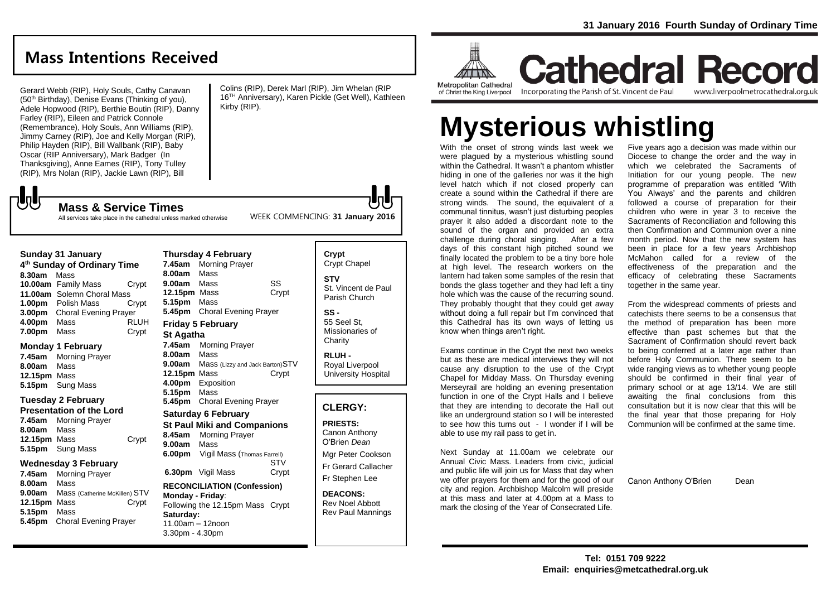**Cathedral Record** 

## **Mass Intentions Received**

Gerard Webb (RIP), Holy Souls, Cathy Canavan (50<sup>th</sup> Birthday), Denise Evans (Thinking of you), Adele Hopwood (RIP), Berthie Boutin (RIP), Danny Farley (RIP), Eileen and Patrick Connole (Remembrance), Holy Souls, Ann Williams (RIP), Jimmy Carney (RIP), Joe and Kelly Morgan (RIP), Philip Hayden (RIP), Bill Wallbank (RIP), Baby Oscar (RIP Anniversary), Mark Badger (In Thanksgiving), Anne Eames (RIP), Tony Tulley (RIP), Mrs Nolan (RIP), Jackie Lawn (RIP), Bill

Colins (RIP), Derek Marl (RIP), Jim Whelan (RIP 16TH Anniversary), Karen Pickle (Get Well), Kathleen Kirby (RIP).

WEEK COMMENCING: **31 January 2016**

All services take place in the cathedral unless marked otherwise

**Mass & Service Times**

#### **Sunday 31 January**

**いし** 

**4 th Sunday of Ordinary Time 8.30am** Mass **10.00am** Family Mass Crypt **11.00am** Solemn Choral Mass **1.00pm** Polish Mass Crypt **3.00pm** Choral Evening Prayer **4.00pm** Mass RLUH **7.00pm** Mass Crypt

#### **Monday 1 February**

**7.45am** Morning Prayer **8.00am** Mass **12.15pm** Mass **5.15pm** Sung Mass

#### **Tuesday 2 February**

**Presentation of the Lord 7.45am** Morning Prayer **8.00am** Mass **12.15pm** Mass Crypt **5.15pm** Sung Mass

#### **Wednesday 3 February**

**7.45am** Morning Prayer **8.00am** Mass **9.00am** Mass (Catherine McKillen) STV **12.15pm** Mass Crypt **5.15pm** Mass **5.45pm** Choral Evening Prayer

**7.45am** Morning Prayer **8.00am** Mass **9.00am** Mass SS **12.15pm** Mass Crypt **5.15pm** Mass **5.45pm** Choral Evening Prayer **Friday 5 February St Agatha 7.45am** Morning Prayer **8.00am** Mass **9.00am** Mass (Lizzy and Jack Barton)STV **12.15pm** Mass Crypt **4.00pm** Exposition **5.15pm** Mass

**Thursday 4 February**

### **5.45pm** Choral Evening Prayer **Saturday 6 February**

**St Paul Miki and Companions 8.45am** Morning Prayer **9.00am** Mass **6.00pm** Vigil Mass (Thomas Farrell)

**STV 6.30pm** Vigil Mass Crypt

#### **RECONCILIATION (Confession) Monday - Friday**: Following the 12.15pm Mass Crypt **Saturday:** 11.00am – 12noon 3.30pm - 4.30pm

#### **Crypt**  Crypt Chapel **STV** St. Vincent de Paul Parish Church

**SS -** 55 Seel St, Missionaries of **Charity** 

**RLUH -** Royal Liverpool University Hospital

## **CLERGY:**

**PRIESTS:** Canon Anthony O'Brien *Dean*

Mgr Peter Cookson Fr Gerard Callacher Fr Stephen Lee

**DEACONS:** Rev Noel Abbott Rev Paul Mannings

**ALLINE Metropolitan Cathedral** 

of Christ the King Liverpool

Incorporating the Parish of St. Vincent de Paul

www.liverpoolmetrocathedral.org.uk

# **Mysterious whistling**

With the onset of strong winds last week we were plagued by a mysterious whistling sound within the Cathedral. It wasn't a phantom whistler hiding in one of the galleries nor was it the high level hatch which if not closed properly can create a sound within the Cathedral if there are strong winds. The sound, the equivalent of a communal tinnitus, wasn't just disturbing peoples prayer it also added a discordant note to the sound of the organ and provided an extra challenge during choral singing. After a few days of this constant high pitched sound we finally located the problem to be a tiny bore hole at high level. The research workers on the lantern had taken some samples of the resin that bonds the glass together and they had left a tiny hole which was the cause of the recurring sound. They probably thought that they could get away without doing a full repair but I'm convinced that this Cathedral has its own ways of letting us know when things aren't right.

Exams continue in the Crypt the next two weeks but as these are medical interviews they will not cause any disruption to the use of the Crypt Chapel for Midday Mass. On Thursday evening Merseyrail are holding an evening presentation function in one of the Crypt Halls and I believe that they are intending to decorate the Hall out like an underground station so I will be interested to see how this turns out - I wonder if I will be able to use my rail pass to get in.

Next Sunday at 11.00am we celebrate our Annual Civic Mass. Leaders from civic, judicial and public life will join us for Mass that day when we offer prayers for them and for the good of our city and region. Archbishop Malcolm will preside at this mass and later at 4.00pm at a Mass to mark the closing of the Year of Consecrated Life.

Five years ago a decision was made within our Diocese to change the order and the way in which we celebrated the Sacraments of Initiation for our young people. The new programme of preparation was entitled 'With You Always' and the parents and children followed a course of preparation for their children who were in year 3 to receive the Sacraments of Reconciliation and following this then Confirmation and Communion over a nine month period. Now that the new system has been in place for a few years Archbishop McMahon called for a review of the effectiveness of the preparation and the efficacy of celebrating these Sacraments together in the same year.

From the widespread comments of priests and catechists there seems to be a consensus that the method of preparation has been more effective than past schemes but that the Sacrament of Confirmation should revert back to being conferred at a later age rather than before Holy Communion. There seem to be wide ranging views as to whether young people should be confirmed in their final year of primary school or at age 13/14. We are still awaiting the final conclusions from this consultation but it is now clear that this will be the final year that those preparing for Holy Communion will be confirmed at the same time.

Canon Anthony O'Brien Dean